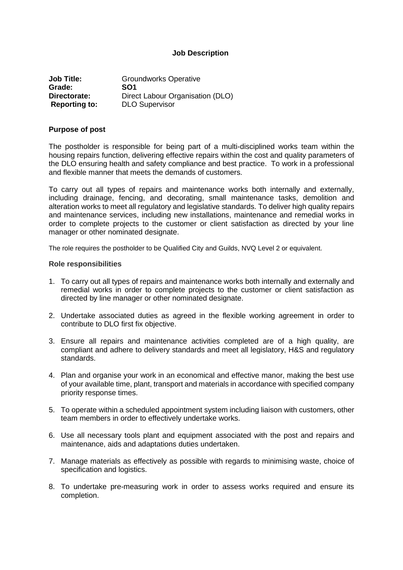### **Job Description**

| <b>Job Title:</b>    | <b>Groundworks Operative</b>     |
|----------------------|----------------------------------|
| Grade:               | SO <sub>1</sub>                  |
| Directorate:         | Direct Labour Organisation (DLO) |
| <b>Reporting to:</b> | <b>DLO Supervisor</b>            |

#### **Purpose of post**

The postholder is responsible for being part of a multi-disciplined works team within the housing repairs function, delivering effective repairs within the cost and quality parameters of the DLO ensuring health and safety compliance and best practice. To work in a professional and flexible manner that meets the demands of customers.

To carry out all types of repairs and maintenance works both internally and externally, including drainage, fencing, and decorating, small maintenance tasks, demolition and alteration works to meet all regulatory and legislative standards. To deliver high quality repairs and maintenance services, including new installations, maintenance and remedial works in order to complete projects to the customer or client satisfaction as directed by your line manager or other nominated designate.

The role requires the postholder to be Qualified City and Guilds, NVQ Level 2 or equivalent.

#### **Role responsibilities**

- 1. To carry out all types of repairs and maintenance works both internally and externally and remedial works in order to complete projects to the customer or client satisfaction as directed by line manager or other nominated designate.
- 2. Undertake associated duties as agreed in the flexible working agreement in order to contribute to DLO first fix objective.
- 3. Ensure all repairs and maintenance activities completed are of a high quality, are compliant and adhere to delivery standards and meet all legislatory, H&S and regulatory standards.
- 4. Plan and organise your work in an economical and effective manor, making the best use of your available time, plant, transport and materials in accordance with specified company priority response times.
- 5. To operate within a scheduled appointment system including liaison with customers, other team members in order to effectively undertake works.
- 6. Use all necessary tools plant and equipment associated with the post and repairs and maintenance, aids and adaptations duties undertaken.
- 7. Manage materials as effectively as possible with regards to minimising waste, choice of specification and logistics.
- 8. To undertake pre-measuring work in order to assess works required and ensure its completion.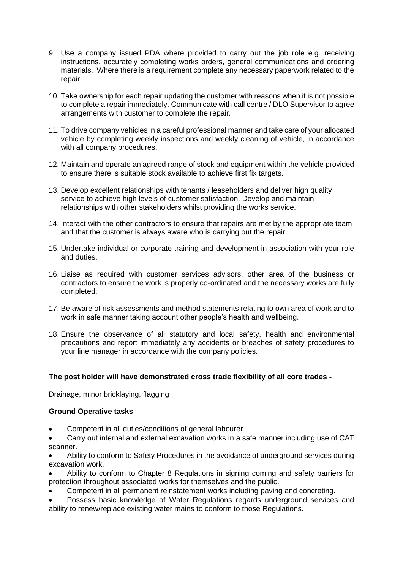- 9. Use a company issued PDA where provided to carry out the job role e.g. receiving instructions, accurately completing works orders, general communications and ordering materials. Where there is a requirement complete any necessary paperwork related to the repair.
- 10. Take ownership for each repair updating the customer with reasons when it is not possible to complete a repair immediately. Communicate with call centre / DLO Supervisor to agree arrangements with customer to complete the repair.
- 11. To drive company vehicles in a careful professional manner and take care of your allocated vehicle by completing weekly inspections and weekly cleaning of vehicle, in accordance with all company procedures.
- 12. Maintain and operate an agreed range of stock and equipment within the vehicle provided to ensure there is suitable stock available to achieve first fix targets.
- 13. Develop excellent relationships with tenants / leaseholders and deliver high quality service to achieve high levels of customer satisfaction. Develop and maintain relationships with other stakeholders whilst providing the works service.
- 14. Interact with the other contractors to ensure that repairs are met by the appropriate team and that the customer is always aware who is carrying out the repair.
- 15. Undertake individual or corporate training and development in association with your role and duties.
- 16. Liaise as required with customer services advisors, other area of the business or contractors to ensure the work is properly co-ordinated and the necessary works are fully completed.
- 17. Be aware of risk assessments and method statements relating to own area of work and to work in safe manner taking account other people's health and wellbeing.
- 18. Ensure the observance of all statutory and local safety, health and environmental precautions and report immediately any accidents or breaches of safety procedures to your line manager in accordance with the company policies.

## **The post holder will have demonstrated cross trade flexibility of all core trades -**

Drainage, minor bricklaying, flagging

## **Ground Operative tasks**

- Competent in all duties/conditions of general labourer.
- Carry out internal and external excavation works in a safe manner including use of CAT scanner.

• Ability to conform to Safety Procedures in the avoidance of underground services during excavation work.

- Ability to conform to Chapter 8 Regulations in signing coming and safety barriers for protection throughout associated works for themselves and the public.
- Competent in all permanent reinstatement works including paving and concreting.
- Possess basic knowledge of Water Regulations regards underground services and ability to renew/replace existing water mains to conform to those Regulations.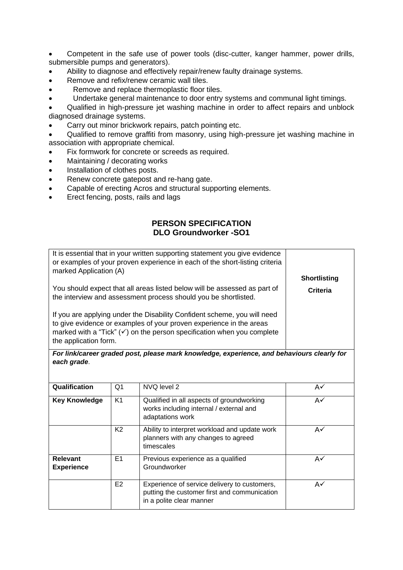• Competent in the safe use of power tools (disc-cutter, kanger hammer, power drills, submersible pumps and generators).

- Ability to diagnose and effectively repair/renew faulty drainage systems.
- Remove and refix/renew ceramic wall tiles.
- Remove and replace thermoplastic floor tiles.
- Undertake general maintenance to door entry systems and communal light timings.

• Qualified in high-pressure jet washing machine in order to affect repairs and unblock diagnosed drainage systems.

• Carry out minor brickwork repairs, patch pointing etc.

• Qualified to remove graffiti from masonry, using high-pressure jet washing machine in association with appropriate chemical.

- Fix formwork for concrete or screeds as required.
- Maintaining / decorating works
- Installation of clothes posts.
- Renew concrete gatepost and re-hang gate.
- Capable of erecting Acros and structural supporting elements.
- Erect fencing, posts, rails and lags

# **PERSON SPECIFICATION DLO Groundworker -SO1**

| It is essential that in your written supporting statement you give evidence<br>or examples of your proven experience in each of the short-listing criteria<br>marked Application (A)                                                                          | <b>Shortlisting</b> |
|---------------------------------------------------------------------------------------------------------------------------------------------------------------------------------------------------------------------------------------------------------------|---------------------|
| You should expect that all areas listed below will be assessed as part of<br>the interview and assessment process should you be shortlisted.                                                                                                                  | Criteria            |
| If you are applying under the Disability Confident scheme, you will need<br>to give evidence or examples of your proven experience in the areas<br>marked with a "Tick" $(\checkmark)$ on the person specification when you complete<br>the application form. |                     |

*For link/career graded post, please mark knowledge, experience, and behaviours clearly for each grade*.

| Qualification                        | Q1             | NVQ level 2                                                                                                              | A✓ |
|--------------------------------------|----------------|--------------------------------------------------------------------------------------------------------------------------|----|
| <b>Key Knowledge</b>                 | K <sub>1</sub> | Qualified in all aspects of groundworking<br>works including internal / external and<br>adaptations work                 | A✓ |
|                                      | K <sub>2</sub> | Ability to interpret workload and update work<br>planners with any changes to agreed<br>timescales                       | A✓ |
| <b>Relevant</b><br><b>Experience</b> | E <sub>1</sub> | Previous experience as a qualified<br>Groundworker                                                                       | A✓ |
|                                      | E <sub>2</sub> | Experience of service delivery to customers,<br>putting the customer first and communication<br>in a polite clear manner | A✓ |